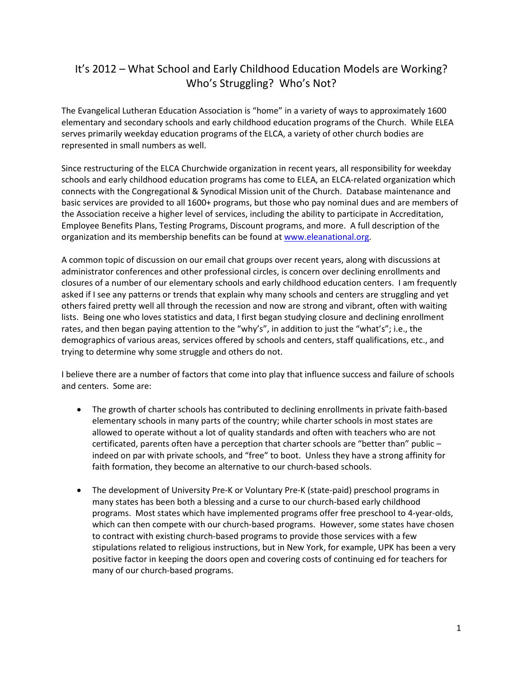## It's 2012 – What School and Early Childhood Education Models are Working? Who's Struggling? Who's Not?

The Evangelical Lutheran Education Association is "home" in a variety of ways to approximately 1600 elementary and secondary schools and early childhood education programs of the Church. While ELEA serves primarily weekday education programs of the ELCA, a variety of other church bodies are represented in small numbers as well.

Since restructuring of the ELCA Churchwide organization in recent years, all responsibility for weekday schools and early childhood education programs has come to ELEA, an ELCA-related organization which connects with the Congregational & Synodical Mission unit of the Church. Database maintenance and basic services are provided to all 1600+ programs, but those who pay nominal dues and are members of the Association receive a higher level of services, including the ability to participate in Accreditation, Employee Benefits Plans, Testing Programs, Discount programs, and more. A full description of the organization and its membership benefits can be found at www.eleanational.org.

A common topic of discussion on our email chat groups over recent years, along with discussions at administrator conferences and other professional circles, is concern over declining enrollments and closures of a number of our elementary schools and early childhood education centers. I am frequently asked if I see any patterns or trends that explain why many schools and centers are struggling and yet others faired pretty well all through the recession and now are strong and vibrant, often with waiting lists. Being one who loves statistics and data, I first began studying closure and declining enrollment rates, and then began paying attention to the "why's", in addition to just the "what's"; i.e., the demographics of various areas, services offered by schools and centers, staff qualifications, etc., and trying to determine why some struggle and others do not.

I believe there are a number of factors that come into play that influence success and failure of schools and centers. Some are:

- The growth of charter schools has contributed to declining enrollments in private faith-based elementary schools in many parts of the country; while charter schools in most states are allowed to operate without a lot of quality standards and often with teachers who are not certificated, parents often have a perception that charter schools are "better than" public – indeed on par with private schools, and "free" to boot. Unless they have a strong affinity for faith formation, they become an alternative to our church-based schools.
- The development of University Pre-K or Voluntary Pre-K (state-paid) preschool programs in many states has been both a blessing and a curse to our church-based early childhood programs. Most states which have implemented programs offer free preschool to 4-year-olds, which can then compete with our church-based programs. However, some states have chosen to contract with existing church-based programs to provide those services with a few stipulations related to religious instructions, but in New York, for example, UPK has been a very positive factor in keeping the doors open and covering costs of continuing ed for teachers for many of our church-based programs.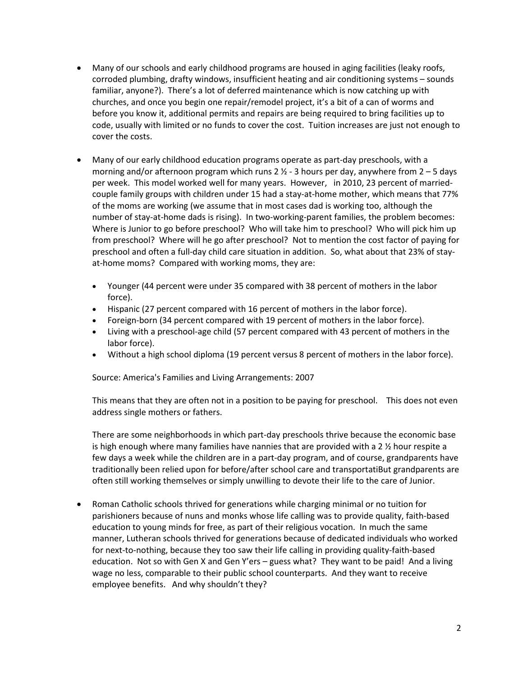- Many of our schools and early childhood programs are housed in aging facilities (leaky roofs, corroded plumbing, drafty windows, insufficient heating and air conditioning systems – sounds familiar, anyone?). There's a lot of deferred maintenance which is now catching up with churches, and once you begin one repair/remodel project, it's a bit of a can of worms and before you know it, additional permits and repairs are being required to bring facilities up to code, usually with limited or no funds to cover the cost. Tuition increases are just not enough to cover the costs.
- Many of our early childhood education programs operate as part-day preschools, with a morning and/or afternoon program which runs  $2 \frac{1}{2}$  - 3 hours per day, anywhere from  $2 - 5$  days per week. This model worked well for many years. However, in 2010, 23 percent of marriedcouple family groups with children under 15 had a stay-at-home mother, which means that 77% of the moms are working (we assume that in most cases dad is working too, although the number of stay-at-home dads is rising). In two-working-parent families, the problem becomes: Where is Junior to go before preschool? Who will take him to preschool? Who will pick him up from preschool? Where will he go after preschool? Not to mention the cost factor of paying for preschool and often a full-day child care situation in addition. So, what about that 23% of stayat-home moms? Compared with working moms, they are:
	- Younger (44 percent were under 35 compared with 38 percent of mothers in the labor force).
	- Hispanic (27 percent compared with 16 percent of mothers in the labor force).
	- Foreign-born (34 percent compared with 19 percent of mothers in the labor force).
	- Living with a preschool-age child (57 percent compared with 43 percent of mothers in the labor force).
	- Without a high school diploma (19 percent versus 8 percent of mothers in the labor force).

Source: America's Families and Living Arrangements: 2007

This means that they are often not in a position to be paying for preschool. This does not even address single mothers or fathers.

There are some neighborhoods in which part-day preschools thrive because the economic base is high enough where many families have nannies that are provided with a 2 % hour respite a few days a week while the children are in a part-day program, and of course, grandparents have traditionally been relied upon for before/after school care and transportatiBut grandparents are often still working themselves or simply unwilling to devote their life to the care of Junior.

• Roman Catholic schools thrived for generations while charging minimal or no tuition for parishioners because of nuns and monks whose life calling was to provide quality, faith-based education to young minds for free, as part of their religious vocation. In much the same manner, Lutheran schools thrived for generations because of dedicated individuals who worked for next-to-nothing, because they too saw their life calling in providing quality-faith-based education. Not so with Gen X and Gen Y'ers – guess what? They want to be paid! And a living wage no less, comparable to their public school counterparts. And they want to receive employee benefits. And why shouldn't they?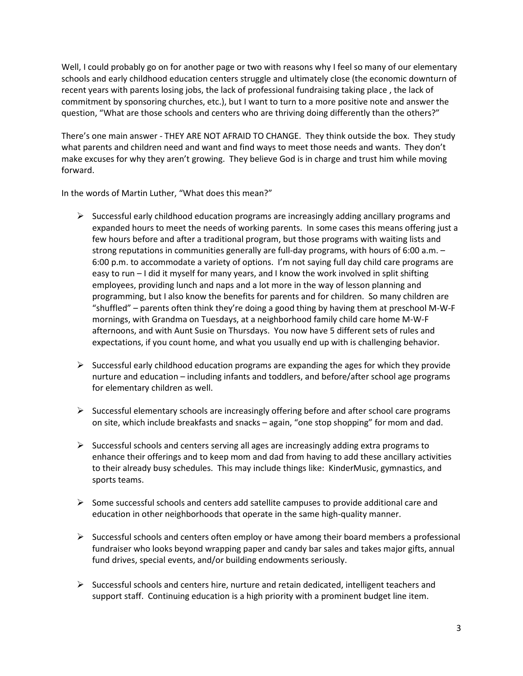Well, I could probably go on for another page or two with reasons why I feel so many of our elementary schools and early childhood education centers struggle and ultimately close (the economic downturn of recent years with parents losing jobs, the lack of professional fundraising taking place , the lack of commitment by sponsoring churches, etc.), but I want to turn to a more positive note and answer the question, "What are those schools and centers who are thriving doing differently than the others?"

There's one main answer - THEY ARE NOT AFRAID TO CHANGE. They think outside the box. They study what parents and children need and want and find ways to meet those needs and wants. They don't make excuses for why they aren't growing. They believe God is in charge and trust him while moving forward.

In the words of Martin Luther, "What does this mean?"

- $\triangleright$  Successful early childhood education programs are increasingly adding ancillary programs and expanded hours to meet the needs of working parents. In some cases this means offering just a few hours before and after a traditional program, but those programs with waiting lists and strong reputations in communities generally are full-day programs, with hours of 6:00 a.m. – 6:00 p.m. to accommodate a variety of options. I'm not saying full day child care programs are easy to run – I did it myself for many years, and I know the work involved in split shifting employees, providing lunch and naps and a lot more in the way of lesson planning and programming, but I also know the benefits for parents and for children. So many children are "shuffled" – parents often think they're doing a good thing by having them at preschool M-W-F mornings, with Grandma on Tuesdays, at a neighborhood family child care home M-W-F afternoons, and with Aunt Susie on Thursdays. You now have 5 different sets of rules and expectations, if you count home, and what you usually end up with is challenging behavior.
- $\triangleright$  Successful early childhood education programs are expanding the ages for which they provide nurture and education – including infants and toddlers, and before/after school age programs for elementary children as well.
- $\triangleright$  Successful elementary schools are increasingly offering before and after school care programs on site, which include breakfasts and snacks – again, "one stop shopping" for mom and dad.
- $\triangleright$  Successful schools and centers serving all ages are increasingly adding extra programs to enhance their offerings and to keep mom and dad from having to add these ancillary activities to their already busy schedules. This may include things like: KinderMusic, gymnastics, and sports teams.
- $\triangleright$  Some successful schools and centers add satellite campuses to provide additional care and education in other neighborhoods that operate in the same high-quality manner.
- $\triangleright$  Successful schools and centers often employ or have among their board members a professional fundraiser who looks beyond wrapping paper and candy bar sales and takes major gifts, annual fund drives, special events, and/or building endowments seriously.
- $\triangleright$  Successful schools and centers hire, nurture and retain dedicated, intelligent teachers and support staff. Continuing education is a high priority with a prominent budget line item.